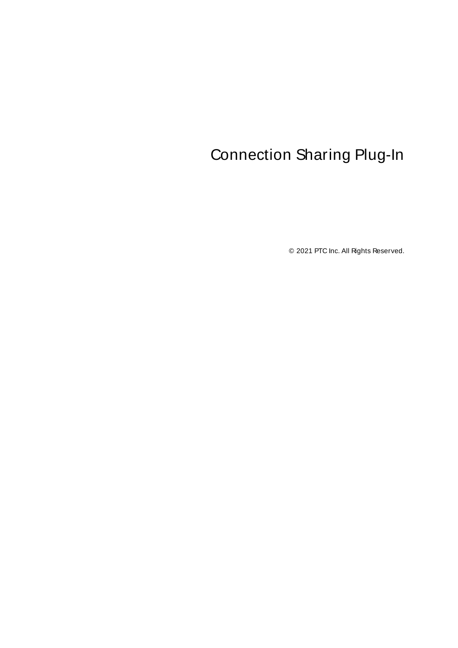# <span id="page-0-0"></span>Connection Sharing Plug-In

© 2021 PTC Inc. All Rights Reserved.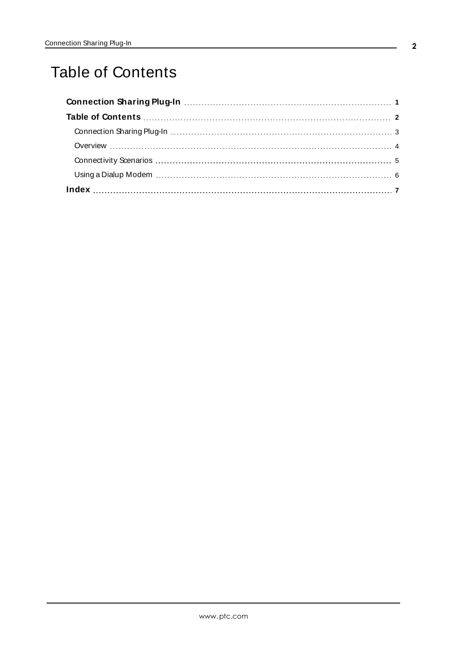# <span id="page-1-0"></span>Table of Contents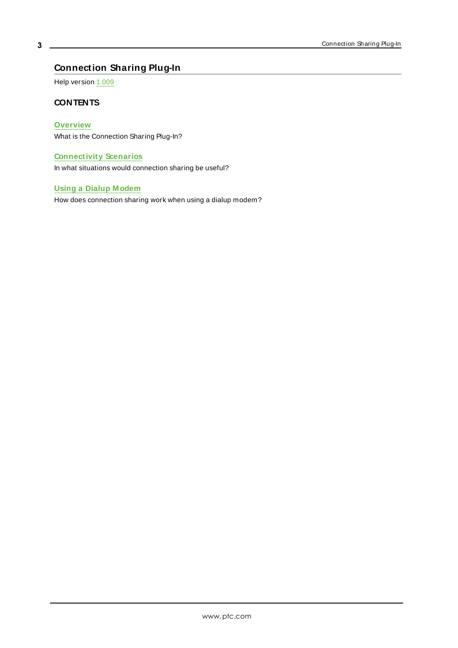# <span id="page-2-0"></span>**Connection Sharing Plug-In**

Help version 1.009

### <span id="page-2-2"></span>**CONTENTS**

### **[Overview](#page-3-0)**

What is the Connection Sharing Plug-In?

### **[Connectivity](#page-4-0) Scenarios**

<span id="page-2-1"></span>In what situations would connection sharing be useful?

### **Using a Dialup [M odem](#page-5-0)**

How does connection sharing work when using a dialup modem?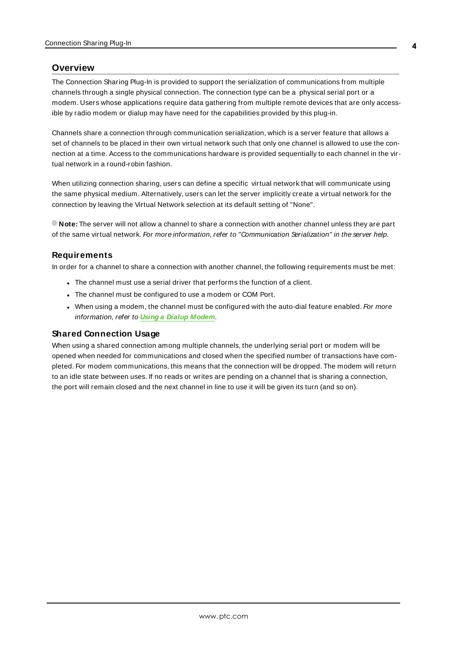#### <span id="page-3-3"></span><span id="page-3-0"></span>**Overview**

The Connection Sharing Plug-In is provided to support the serialization of communications from multiple channels through a single physical connection. The connection type can be a physical serial port or a modem. Users whose applications require data gathering from multiple remote devices that are only accessible by radio modem or dialup may have need for the capabilities provided by this plug-in.

<span id="page-3-2"></span>Channels share a connection through communication serialization, which is a server feature that allows a set of channels to be placed in their own virtual network such that only one channel is allowed to use the connection at a time. Access to the communications hardware is provided sequentially to each channel in the virtual network in a round-robin fashion.

<span id="page-3-6"></span>When utilizing connection sharing, users can define a specific virtual network that will communicate using the same physical medium. Alternatively, users can let the server implicitly create a virtual network for the connection by leaving the Virtual Network selection at its default setting of "None".

**Note:** The server will not allow a channel to share a connection with another channel unless they are part of the same virtual network. For more information, refer to "Communication Serialization" in the server help.

#### <span id="page-3-4"></span>**Requirements**

In order for a channel to share a connection with another channel, the following requirements must be met:

- The channel must use a serial driver that performs the function of a client.
- <span id="page-3-1"></span>- The channel must be configured to use a modem or COM Port.
- When using a modem, the channel must be configured with the auto-dial feature enabled. For more information, refer to **Using a Dialup [Modem](#page-5-0)**.

#### <span id="page-3-5"></span>**Shared Connection Usage**

When using a shared connection among multiple channels, the underlying serial port or modem will be opened when needed for communications and closed when the specified number of transactions have completed. For modem communications, this means that the connection will be dropped. The modem will return to an idle state between uses. If no reads or writes are pending on a channel that is sharing a connection, the port will remain closed and the next channel in line to use it will be given its turn (and so on).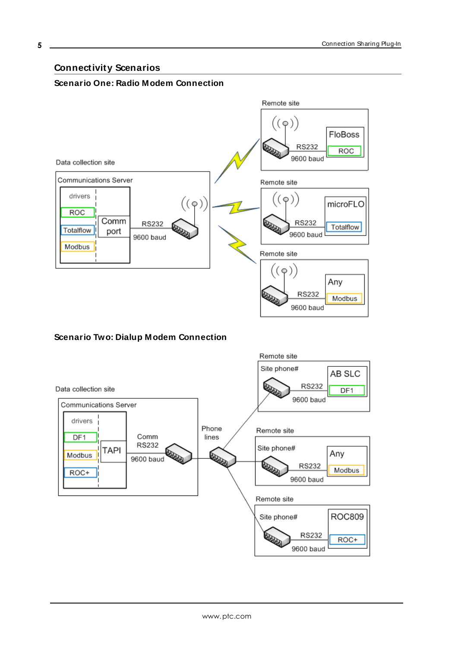## <span id="page-4-0"></span>**Connectivity Scenarios**

### **Scenario One: Radio Modem Connection**



## **Scenario Two: Dialup Modem Connection**

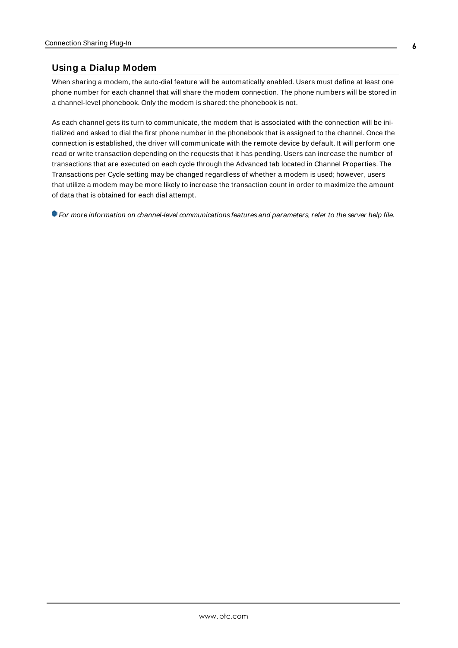## <span id="page-5-1"></span><span id="page-5-0"></span>**Using a Dialup Modem**

When sharing a modem, the auto-dial feature will be automatically enabled. Users must define at least one phone number for each channel that will share the modem connection. The phone numbers will be stored in a channel-level phonebook. Only the modem is shared: the phonebook is not.

<span id="page-5-2"></span>As each channel gets its turn to communicate, the modem that is associated with the connection will be initialized and asked to dial the first phone number in the phonebook that is assigned to the channel. Once the connection is established, the driver will communicate with the remote device by default. It will perform one read or write transaction depending on the requests that it has pending. Users can increase the number of transactions that are executed on each cycle through the Advanced tab located in Channel Properties. The Transactions per Cycle setting may be changed regardless of whether a modem is used; however, users that utilize a modem may be more likely to increase the transaction count in order to maximize the amount of data that is obtained for each dial attempt.

For more information on channel-level communications features and parameters, refer to the server help file.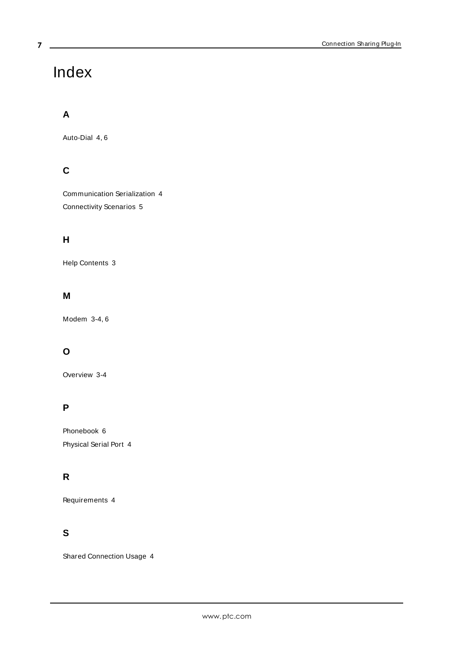# <span id="page-6-0"></span>Index

# **A**

Auto-Dial [4](#page-3-1), [6](#page-5-1)

# **C**

Communication Serialization [4](#page-3-2) Connectivity Scenarios [5](#page-4-0)

## **H**

Help Contents [3](#page-2-0)

## **M**

Modem [3-4](#page-2-1), [6](#page-5-0)

# **O**

Overview [3-4](#page-2-2)

# **P**

Phonebook [6](#page-5-1) Physical Serial Port [4](#page-3-3)

## **R**

Requirements [4](#page-3-4)

## **S**

Shared Connection Usage [4](#page-3-5)